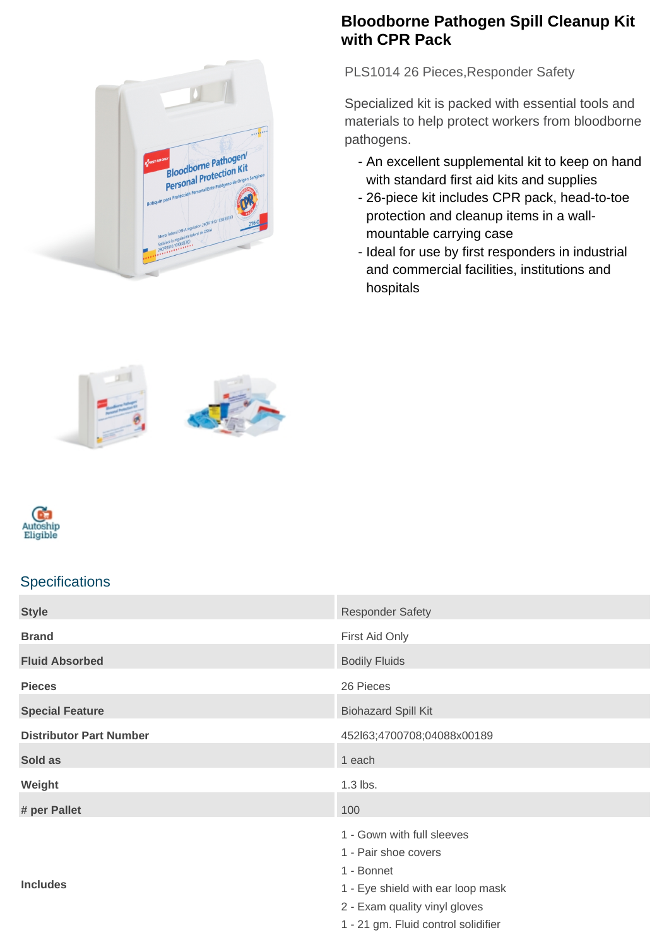## **Bloodborne Pathogen Spill Cleanup Kit with CPR Pack**

PLS1014 26 Pieces, Responder Safety

Specialized kit is packed with essential tools and materials to help protect workers from bloodborne pathogens.

- An excellent supplemental kit to keep on hand with standard first aid kits and supplies
- 26-piece kit includes CPR pack, head-to-toe protection and cleanup items in a wallmountable carrying case
- Ideal for use by first responders in industrial and commercial facilities, institutions and hospitals









## **Specifications**

| <b>Style</b>                   | <b>Responder Safety</b>             |
|--------------------------------|-------------------------------------|
| <b>Brand</b>                   | First Aid Only                      |
| <b>Fluid Absorbed</b>          | <b>Bodily Fluids</b>                |
| <b>Pieces</b>                  | 26 Pieces                           |
| <b>Special Feature</b>         | <b>Biohazard Spill Kit</b>          |
| <b>Distributor Part Number</b> | 452l63;4700708;04088x00189          |
| Sold as                        | 1 each                              |
| Weight                         | $1.3$ lbs.                          |
| # per Pallet                   | 100                                 |
| <b>Includes</b>                | 1 - Gown with full sleeves          |
|                                | 1 - Pair shoe covers                |
|                                | 1 - Bonnet                          |
|                                | 1 - Eye shield with ear loop mask   |
|                                | 2 - Exam quality vinyl gloves       |
|                                | 1 - 21 gm. Fluid control solidifier |